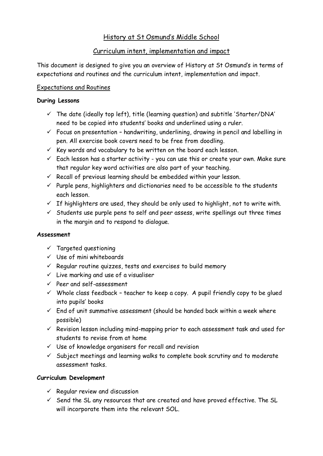# History at St Osmund's Middle School

## Curriculum intent, implementation and impact

This document is designed to give you an overview of History at St Osmund's in terms of expectations and routines and the curriculum intent, implementation and impact.

### Expectations and Routines

#### **During Lessons**

- $\checkmark$  The date (ideally top left), title (learning question) and subtitle 'Starter/DNA' need to be copied into students' books and underlined using a ruler.
- $\checkmark$  Focus on presentation handwriting, underlining, drawing in pencil and labelling in pen. All exercise book covers need to be free from doodling.
- $\checkmark$  Key words and vocabulary to be written on the board each lesson.
- $\checkmark$  Each lesson has a starter activity you can use this or create your own. Make sure that regular key word activities are also part of your teaching.
- $\checkmark$  Recall of previous learning should be embedded within your lesson.
- $\checkmark$  Purple pens, highlighters and dictionaries need to be accessible to the students each lesson.
- $\checkmark$  If highlighters are used, they should be only used to highlight, not to write with.
- $\checkmark$  Students use purple pens to self and peer assess, write spellings out three times in the margin and to respond to dialogue.

#### **Assessment**

- $\checkmark$  Targeted questioning
- $V$  Use of mini whiteboards
- $\checkmark$  Regular routine quizzes, tests and exercises to build memory
- $\checkmark$  Live marking and use of a visualiser
- $\checkmark$  Peer and self-assessment
- $\checkmark$  Whole class feedback teacher to keep a copy. A pupil friendly copy to be glued into pupils' books
- $\checkmark$  End of unit summative assessment (should be handed back within a week where possible)
- $\checkmark$  Revision lesson including mind-mapping prior to each assessment task and used for students to revise from at home
- $\checkmark$  Use of knowledge organisers for recall and revision
- $\checkmark$  Subject meetings and learning walks to complete book scrutiny and to moderate assessment tasks.

## **Curriculum Development**

- $\checkmark$  Regular review and discussion
- $\checkmark$  Send the SL any resources that are created and have proved effective. The SL will incorporate them into the relevant SOL.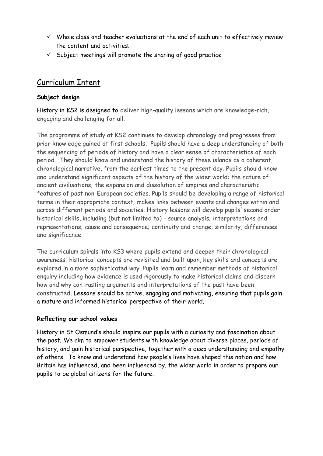- $\checkmark$  Whole class and teacher evaluations at the end of each unit to effectively review the content and activities.
- $\checkmark$  Subject meetings will promote the sharing of good practice

# Curriculum Intent

### **Subject design**

History in KS2 is designed to deliver high-quality lessons which are knowledge-rich, engaging and challenging for all.

The programme of study at KS2 continues to develop chronology and progresses from prior knowledge gained at first schools. Pupils should have a deep understanding of both the sequencing of periods of history and have a clear sense of characteristics of each period. They should know and understand the history of these islands as a coherent, chronological narrative, from the earliest times to the present day. Pupils should know and understand significant aspects of the history of the wider world: the nature of ancient civilisations; the expansion and dissolution of empires and characteristic features of past non-European societies. Pupils should be developing a range of historical terms in their appropriate context; makes links between events and changes within and across different periods and societies. History lessons will develop pupils' second order historical skills, including (but not limited to) - source analysis; interpretations and representations; cause and consequence; continuity and change; similarity, differences and significance.

The curriculum spirals into KS3 where pupils extend and deepen their chronological awareness; historical concepts are revisited and built upon, key skills and concepts are explored in a more sophisticated way. Pupils learn and remember methods of historical enquiry including how evidence is used rigorously to make historical claims and discern how and why contrasting arguments and interpretations of the past have been constructed. Lessons should be active, engaging and motivating, ensuring that pupils gain a mature and informed historical perspective of their world.

## **Reflecting our school values**

History in St Osmund's should inspire our pupils with a curiosity and fascination about the past. We aim to empower students with knowledge about diverse places, periods of history, and gain historical perspective, together with a deep understanding and empathy of others. To know and understand how people's lives have shaped this nation and how Britain has influenced, and been influenced by, the wider world in order to prepare our pupils to be global citizens for the future.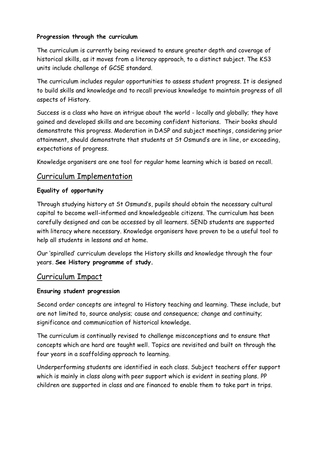## **Progression through the curriculum**

The curriculum is currently being reviewed to ensure greater depth and coverage of historical skills, as it moves from a literacy approach, to a distinct subject. The KS3 units include challenge of GCSE standard.

The curriculum includes regular opportunities to assess student progress. It is designed to build skills and knowledge and to recall previous knowledge to maintain progress of all aspects of History.

Success is a class who have an intrigue about the world - locally and globally; they have gained and developed skills and are becoming confident historians. Their books should demonstrate this progress. Moderation in DASP and subject meetings, considering prior attainment, should demonstrate that students at St Osmund's are in line, or exceeding, expectations of progress.

Knowledge organisers are one tool for regular home learning which is based on recall.

# Curriculum Implementation

#### **Equality of opportunity**

Through studying history at St Osmund's, pupils should obtain the necessary cultural capital to become well-informed and knowledgeable citizens. The curriculum has been carefully designed and can be accessed by all learners. SEND students are supported with literacy where necessary. Knowledge organisers have proven to be a useful tool to help all students in lessons and at home.

Our 'spiralled' curriculum develops the History skills and knowledge through the four years. **See History programme of study.**

# Curriculum Impact

#### **Ensuring student progression**

Second order concepts are integral to History teaching and learning. These include, but are not limited to, source analysis; cause and consequence; change and continuity; significance and communication of historical knowledge.

The curriculum is continually revised to challenge misconceptions and to ensure that concepts which are hard are taught well. Topics are revisited and built on through the four years in a scaffolding approach to learning.

Underperforming students are identified in each class. Subject teachers offer support which is mainly in class along with peer support which is evident in seating plans. PP children are supported in class and are financed to enable them to take part in trips.